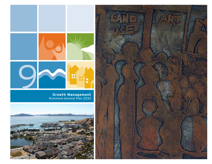

**Growth Management** Richmond General Plan 2030



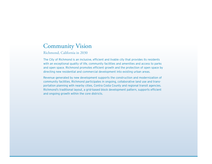# Community Vision

Richmond, California in 2030

The City of Richmond is an inclusive, efficient and livable city that provides its residents with an exceptional quality of life, community facilities and amenities and access to parks and open space. Richmond promotes efficient growth and the protection of open space by directing new residential and commercial development into existing urban areas.

Revenue generated by new development supports the construction and modernization of community facilities. Richmond participates in ongoing, collaborative land use and transportation planning with nearby cities, Contra Costa County and regional transit agencies. Richmond's traditional layout, a grid-based block development pattern, supports efficient and ongoing growth within the core districts.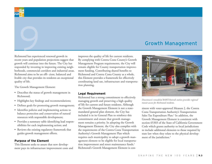

# **19 Growth Management**<br>19 Growth Management<br>19 Management of the server of crows the in a substantial conditional of life for current residents.

Richmond has experienced renewed growth in recent years and population projections suggest that growth will continue into the future. The City has responded by investing in improving existing neighborhoods, commercial corridors and industrial areas. Richmond aims to be an effi- cient, balanced and livable city that provides its residents an exceptional quality of life.

The Growth Management Element:

- • Describes the status of growth management in Richmond;
- • Highlights key findings and recommendations;
- Defines goals for promoting growth management;
- • Identifies policies and implementing actions to balance protection and conservation of natural resources with responsible development;
- Provides a summary table identifying lead responsibilities for each implementing action; and
- Reviews the existing regulatory framework that guides growth management efforts.

#### **Purpose of the Element**

This Element seeks to assure that new development pays its infrastructure improvement costs and improves the quality of life for current residents. By complying with Contra Costa County's Growth Management Program requirements, the City will remain eligible for County transportation improvement funding. Contributing shared benefits to Richmond and Contra Costa County as a whole, this Element provides a framework for effectively coordinating land use, infrastructure and transportation planning.

#### **Legal Requirement**

Richmond has a strong commitment to effectively managing growth and preserving a high quality of life for current and future residents. Although the Growth Management Element is not a statemandated general plan element, the City has included it in its General Plan to reinforce this commitment and ensure that growth management remains a priority. In adopting the Growth Management Element, the City also complies with the requirements of the Contra Costa Transportation Authority's Growth Management Plan which requires each municipality to adopt a growth management element to be eligible for local transportation improvement and street maintenance funds.<sup>1</sup> Richmond's Growth Management Element is con-



*Downtown's remodeled BART/Amtrak station provides regional transit access for Richmond residents.*

sistent with voter-approved Measure J, the Contra Costa Transportation Authority's Transportation Sales Tax Expenditure Plan.<sup>2</sup> In addition, the Growth Management Element is consistent with section 65303 of the State of California Government Code which grants authority to local jurisdictions to include additional elements to those required by state law when they relate to the physical development of the jurisdiction.<sup>3</sup>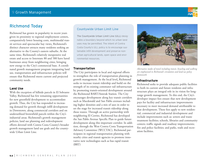# Richmond Today

Richmond has grown in popularity in recent years given its proximity to regional employment centers, comparatively lower housing costs, multimodal transit services and spectacular bay views. Richmond's distinct character attracts many residents seeking an alternative to the County's eastern suburbs. At the same time, Richmond's relatively inexpensive real estate and access to Interstate 80 and 580 have lured businesses away from neighboring cities, bringing new energy to the City's commercial base. A coordinated growth management program integrating land use, transportation and infrastructure policies will ensure that Richmond meets current and projected community needs.

#### **Land Use**

With the exception of hillside parcels in El Sobrante Valley, Richmond has few remaining opportunities for new greenfield development to accommodate growth. Thus, the City has responded to increasing demand for growth through infill development in Downtown, along commercial corridors and on underutilized brownfield parcels within the City's industrial areas. Richmond's growth management policies, land use planning and redevelopment efforts dovetail with Contra Costa County's broader growth management land use goals and the countywide Urban Limit Line.

## Countywide Urban Limit Line

The Countywide Urban Limit Line (ULL) designates a boundary beyond which no urban land uses may be permitted. The intent of Contra Costa County's ULL policy is to encourage sustainable infill development and preserve nonurban agricultural lands, open space and environmental resources.

## **Transportation**

The City participates in local and regional efforts to strengthen the role of transportation planning in growth management. At the local level, Richmond seeks to increase transit ridership and build on the strength of its existing commuter rail infrastructure by promoting transit-oriented development around the Richmond BART/Amtrak Station. The City encourages development along key transit corridors such as Macdonald and San Pablo avenues including higher densities and a mix of uses in order to set the stage for increased transit ridership along these routes. Through an active partnership with neighboring El Cerrito, Richmond has developed the San Pablo Avenue Specific Plan to guide future development along this important corridor. In addition, through the West Contra Costa Transportation Advisory Committee (WCCTAC), Richmond participates in regional transportation planning with nearby cities and transit agencies to promote innovative new technologies such as bus rapid transit (BRT)



*are emphasized in Richmond's circulation and land use policy framework.*

#### **Infrastructure**

Richmond seeks to provide adequate public facilities to both its current and future residents and infrastructure plays an integral role in its vision for longrange growth management. To this end, the City's developer impact fees ensure that new development pays for facility and infrastructure improvements necessary to meet increased demand attributable to that development. These fees apply to new residential, commercial and industrial development and include improvements such as: sewers and waste treatment facilities; schools, libraries and community centers; traffic signals and roadway improvements; fire and police facilities; and parks, trails and recreation facilities.

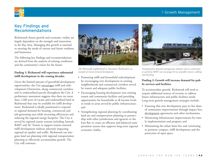## 9 Growth Management



# Key Findings and Recommendations

Richmond's future growth and economic vitality are largely dependent on the strength and innovation in the Bay Area. Managing this growth is essential to meeting the needs of current and future residents and businesses.

The following key findings and recommendations are derived from the analysis of existing conditions and the community's vision for the future.

#### **Finding 1: Richmond will experience substantial infill development in the coming decades.**

Given the limited amount of greenfield development opportunities, the City encourages infill and redevelopment Downtown, along commercial corridors and in underutilized parcels throughout the City. A preliminary assessment suggests that there are more than 1,200 acres of vacant and underutilized land in Richmond that may be available for infill development. Richmond is ideally positioned to respond to regional demand for housing, commercial and job-generating uses while increasing efficiencies and reducing the regional energy footprint. The City is served by regional transit systems including Amtrak, BART and AC Transit to support transit-oriented infill development without adversely impacting regional air quality and traffic. Richmond can integrate land use planning with regional transportation planning to effectively accommodate growth. The City will continue:



*The Metrowalk neighborhood in Downtown Richmond is an example of transit-oriented development.*

- • Promoting infill and brownfield redevelopment by encouraging new development in existing neighborhoods and commercial corridors served by transit and adequate public facilities;
- • Encouraging housing development near existing transit and community facilities and providing opportunities for households at all income levels to reside in areas served by public infrastructure; and
- Strengthening regional planning by coordinating land use and transportation planning in partnership with other jurisdictions and agencies in the East Bay to create an efficient and balanced transportation system that supports long-term regional economic vitality.



*Transportation demand management solutions such as connections to and from BART can encourage the use of public transit, walking and bicycling.*

#### **Finding 2: Growth will increase demand for public services and facilities.**

To accommodate growth, Richmond will need to acquire additional sources of revenue to address future infrastructure and public facilities needs. Long-term growth management strategies include:

- Ensuring that new development pays its fair share of community improvements through impact fees, development agreements and other mechanisms;
- Monitoring infrastructure improvements for timely implementation and progress; and
- • Maintaining the urban limit line and continuing to promote compact, infill development and the protection of open space.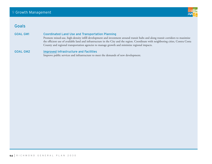

# Goals

GOAL GM1 Coordinated Land Use and Transportation Planning

Promote mixed-use, high-density infill development and investment around transit hubs and along transit corridors to maximize the efficient use of available land and infrastructure in the City and the region. Coordinate with neighboring cities, Contra Costa County and regional transportation agencies to manage growth and minimize regional impacts.

#### GOAL GM2 Improved Infrastructure and Facilities

Improve public services and infrastructure to meet the demands of new development.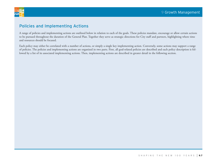

# Policies and Implementing Actions

A range of policies and implementing actions are outlined below in relation to each of the goals. These policies mandate, encourage or allow certain actions to be pursued throughout the duration of the General Plan. Together they serve as strategic directions for City staff and partners, highlighting where time and resources should be focused.

Each policy may either be correlated with a number of actions, or simply a single key implementing action. Conversely, some actions may support a range of policies. The policies and implementing actions are organized in two parts. First, all goal-related policies are described and each policy description is followed by a list of its associated implementing actions. Then, implementing actions are described in greater detail in the following section.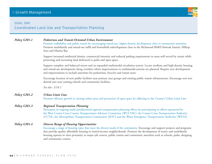## **GOAL GM1**

Coordinated Land Use and Transportation Planning

| Policy GM1.1 | <b>Pedestrian and Transit-Oriented Urban Environment</b><br>Promote walkability and public transit by encouraging mixed-use, higher-density development close to community amenities.<br>Promote multifamily and mixed-use infill and brownfield redevelopment close to the Richmond BART/Amtrak Station, Hilltop<br>Area and Marina Bay.                                                                                                                               |  |  |
|--------------|-------------------------------------------------------------------------------------------------------------------------------------------------------------------------------------------------------------------------------------------------------------------------------------------------------------------------------------------------------------------------------------------------------------------------------------------------------------------------|--|--|
|              | Support increased residential density, commercial intensity and reduced parking requirements in areas well served by transit while<br>protecting and increasing land dedicated to parks and open space.                                                                                                                                                                                                                                                                 |  |  |
|              | Support complete and balanced streets and an expanded multimodal circulation system. Locate medium and high-density housing<br>and mixed-use development along corridors where improvements to multimodal systems are planned. Require new development<br>and improvements to include amenities for pedestrians, bicycles and transit users.                                                                                                                            |  |  |
|              | Encourage location of new public facilities near primary user groups and existing public transit infrastructure. Encourage new resi-<br>dential uses near existing schools and community facilities.                                                                                                                                                                                                                                                                    |  |  |
|              | See also : LU6.1                                                                                                                                                                                                                                                                                                                                                                                                                                                        |  |  |
| Policy GM1.2 | <b>Urban Limit Line</b><br>Promote efficient growth in existing urban areas and protection of open space by adhering to the County's Urban Limit Line.                                                                                                                                                                                                                                                                                                                  |  |  |
| Policy GM1.3 | <b>Regional Transportation Planning</b><br>Participate in ongoing multi-jurisdictional regional transportation planning efforts by participating in efforts sponsored by<br>the West Contra Costa County Transportation Advisory Committee (WCCTAC), the Contra Costa Transportation Authority<br>(CCTA), the Metropolitan Transportation Commission (MTC) and the Water Emergency Transportation Authority (WETA).                                                     |  |  |
| Policy GM1.4 | <b>Diverse Range of Housing Opportunities</b><br>Encourage a range of housing types that meet the diverse needs of the community. Encourage and support projects and programs<br>that provide quality affordable housing in mixed-income neighborhoods. Promote the development of senior and multifamily<br>housing options in close proximity to major job centers, public transit and community amenities such as schools, parks, shopping<br>and community centers. |  |  |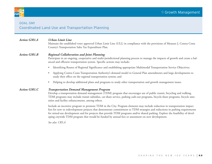

## Goal gm1 Coordinated Land Use and Transportation Planning

#### *Action GM1.A Urban Limit Line*

Maintain the established voter approved Urban Limit Line (ULL) in compliance with the provisions of Measure J, Contra Costa County's Transportation Sales Tax Expenditure Plan.

#### *Action GM1.B Regional Collaboration and Joint Planning*

Participate in an ongoing, cooperative and multi-jurisdictional planning process to manage the impacts of growth and create a balanced and efficient transportation system. Specific actions may include:

- Identifying Routes of Regional Significance and establishing appropriate Multimodal Transportation Service Objectives;
- Applying Contra Costa Transportation Authority's demand model to General Plan amendments and large developments to study their effect on the regional transportation system; and
- Helping to develop additional plans and programs to study other transportation and growth management issues.

#### *Action GM1.C Transportation Demand Management Program*

Develop a transportation demand management (TDM) program that encourages use of public transit, bicycling and walking. TDM programs may include transit subsidies, car-share service, parking cash-out programs, bicycle-share programs, bicycle amenities and facility enhancements, among others.

Include an incentive program to promote TDM in the City. Program elements may include reduction in transportation impact fees for new or redevelopment projects that demonstrate commitment to TDM strategies and reductions in parking requirements for mixed-use development and for projects that provide TDM programs and/or shared parking. Explore the feasibility of developing citywide TDM program that would be funded by annual fees or assessment on new development.

*See also: CR5.A*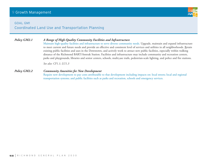#### **GOAL GM1**

Coordinated Land Use and Transportation Planning

## *Policy GM2.1 A Range of High-Quality Community Facilities and Infrastructure*

Maintain high-quality facilities and infrastructure to serve diverse community needs. Upgrade, maintain and expand infrastructure to meet current and future needs and provide an effective and consistent level of services and utilities in all neighborhoods. Retain existing public facilities and uses in the Downtown, and actively work to attract new public facilities, especially within walking distance of the Richmond BART/Amtrak Station. Facilities and infrastructure may include community and recreation centers, parks and playgrounds, libraries and senior centers, schools, multi-use trails, pedestrian-scale lighting, and police and fire stations.

*See also: CF1.1; LU1.3*

#### *Policy GM2.2 Community Amenities for New Development*

Require new development to pay costs attributable to that development including impacts on: local streets; local and regional transportation systems; and public facilities such as parks and recreation, schools and emergency services.

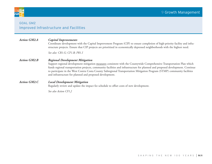

## **GOAL GM2** Improved Infrastructure and Facilities

## *Action GM2.A Capital Improvements*

Coordinate development with the Capital Improvement Program (CIP) to ensure completion of high-priority facility and infrastructure projects. Ensure that CIP projects are prioritized in economically depressed neighborhoods with the highest need.

*See also: CR1.G; CF1.B; PR1.I*

#### *Action GM2.B Regional Development Mitigation*

Support regional development mitigation measures consistent with the Countywide Comprehensive Transportation Plan which funds regional transportation projects, community facilities and infrastructure for planned and proposed development. Continue to participate in the West Contra Costa County Subregional Transportation Mitigation Program (STMP) community facilities and infrastructure for planned and proposed development.

#### *Action GM2.C Local Development Mitigation*

Regularly review and update the impact fee schedule to offset costs of new development.

*See also Action CF1.J*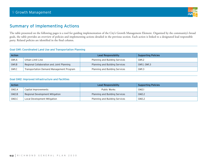

# Summary of Implementing Actions

The table presented on the following pages is a tool for guiding implementation of the City's Growth Management Element. Organized by the community's broad goals, the table provides an overview of policies and implementing actions detailed in the previous section. Each action is linked to a designated lead responsible party. Related policies are identified in the final column.

#### Goal GM1: Coordinated Land Use and Transportation Planning

| Action |                                           | Lead Responsibility                   | <b>Supporting Policies</b> |
|--------|-------------------------------------------|---------------------------------------|----------------------------|
| GM1.A  | Urban Limit Line                          | Planning and Building Services        | GM1.2                      |
| GM1.B  | Regional Collaboration and Joint Planning | <b>Planning and Building Services</b> | GM1.1, GM1.3               |
| GM1.C  | Transportation Demand Management Program  | <b>Planning and Building Services</b> | GM1.3                      |

#### Goal GM2: Improved Infrastructure and Facilities

| Action             |                                 | Lead Responsibility                   | <b>Supporting Policies</b> |
|--------------------|---------------------------------|---------------------------------------|----------------------------|
| GM2.A              | Captial Improvements            | Public Works                          | GM2.1                      |
| GM2.B              | Regional Development Mitigation | <b>Planning and Building Services</b> | GM2.2                      |
| GM <sub>2</sub> .C | Local Development Mitigation    | <b>Planning and Building Services</b> | GM2.2                      |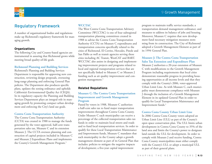

# Regulatory Framework

A number of organizational bodies and regulations make up Richmond's regulatory framework for managing growth.

#### **Organizations**

The following City and County-based agencies are instrumental in assuring that Richmond grows while meeting broad quality-of-life goals.

#### **Richmond Planning and Building Services**

Richmond's Planning and Building Services Department is responsible for approving new construction, reviewing design proposals, overseeing long-range planning and enforcing General Plan policies. The Department also produces specific plans, updates the zoning ordinance and upholds California's Environmental Quality Act (CEQA). In its regulatory capacity the Planning and Building Services Department plays an integral role in managing growth by promoting compact urban development and enforcing the City's land use goals.

#### **Contra Costa Transportation Authority**

The Contra Costa Transportation Authority (CCTA) was created in 1988 to manage the funds generated by the voter-approved, half-cent transportation sales tax, Measure C and its extension Measure J. The CCTA oversees planning and construction of capital projects included in Measure C and Measure J Expenditure Plans and implements the County's Growth Management Program.5

#### **WCCTAC**

The West Contra Costa Transportation Advisory Committee (WCCTAC) is one of four subregional transportation planning committees created in 1988 to advise the Contra Costa Transportation Authority (CCTA) on Measure C expenditures and transportation concerns specifically related to the cities of Richmond, El Cerrito, Hercules, Pinole and San Pablo as well as transit agencies serving these cities including AC Transit, WestCAT and BART. WCCTAC also assists in designing and implementing improvement projects and programs related to local and regional transportation services that are not specifically linked to Measure C or Measure J funding such as air quality improvement and congestion management.4

#### **Related Regulations**

#### **Measure C: The Contra Costa Transportation Improvement and Growth Management Program**

Passed by voters in 1988, Measure C authorizes a half-cent sales tax to fund major transportation improvements throughout Contra Costa County. Under Measure C each municipality can receive a percentage of the collected transportation sales tax funds in order to maintain local streets and roads and to fund local transportation services. In order to qualify for these Local Transportation Maintenance and Improvement funds, Measure C mandates that each municipality in the County adopt a growth management element as part of its General Plan that includes: policies to mitigate the negative impacts of development; a five-year capital improvement

program to maintain traffic service standards; a transportation demand management ordinance; and measures to address its balance of jobs and housing. Moreover, Measure C requires that new development fund necessary mitigation measures stemming from its construction. The City of Richmond adopted a Growth Management Element as part of its 1994 General Plan.

#### **Measure J: The Contra Costa Transportation Sales Tax Extension and Expenditure Plan**

Measure J authorizes a 20-year extension of Measure C with modifications to the Growth Management Program including requirements that local cities demonstrate reasonable progress in providing housing opportunities at all income levels and that they comply with the County's 2006, voter-approved Urban Limit Line. As with Measure C, each municipality must demonstrate compliance with Measure J through the inclusion of a Growth Management Element in its updated General Plan in order to qualify for Local Transportation Maintenance and Improvement funds.2

#### **Contra Costa County Urban Limit Line**

In 2006 Contra Costa County voters adopted an Urban Limit Line (ULL) as part of the County's open space conservation plan. The ULL limits urban development in Contra Costa County to 35% of the land area and limits the County's power to designate land outside the ULL for development. In order to comply with Measure J and receive funding, Contra Costa County municipalities must either comply with the County's ULL or adopt a municipal ULL as part of their general plans.